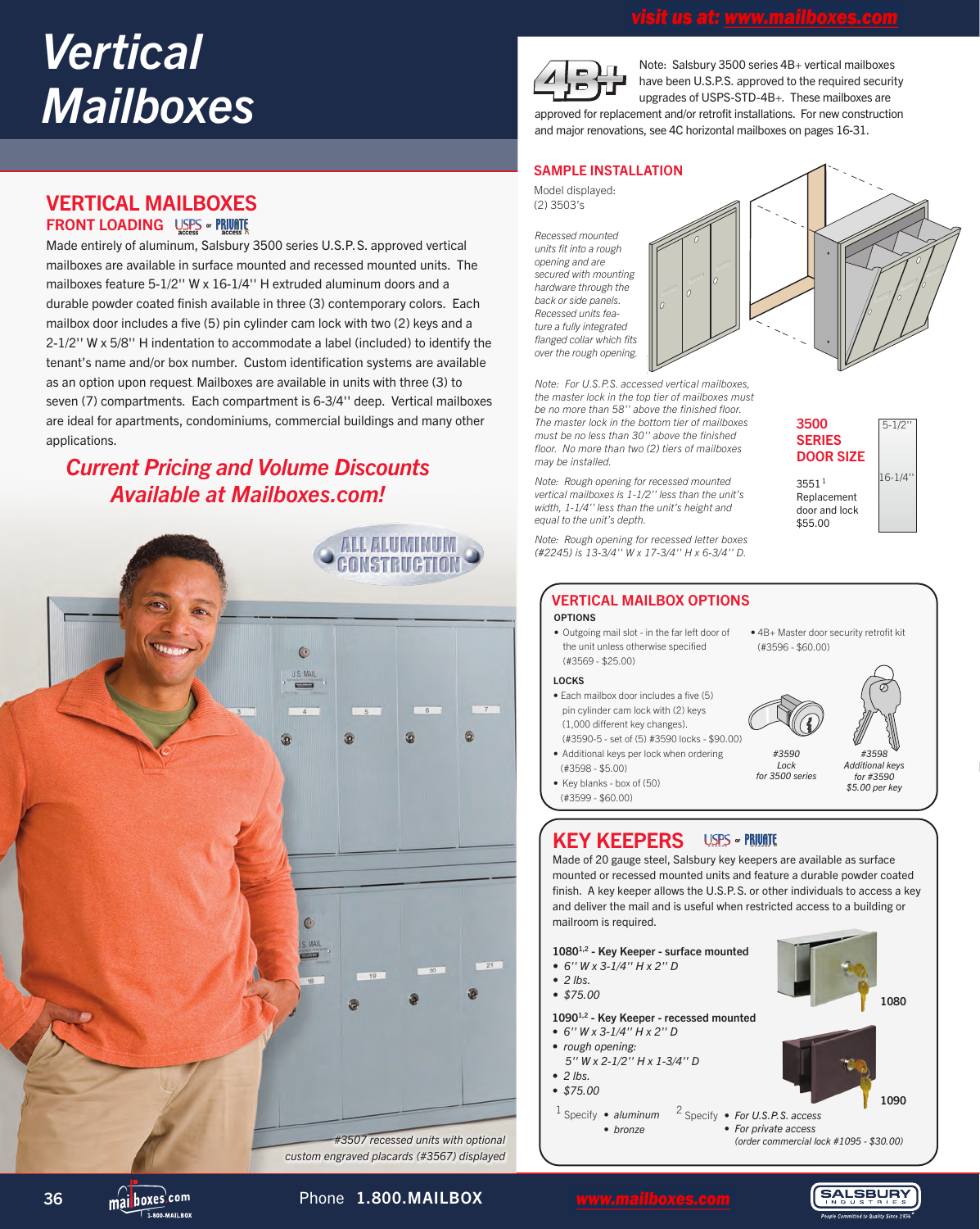# *Vertical Mailboxes*

# VERTICAL MAILBOXES **FRONT LOADING USPS . PRIVATE**

Made entirely of aluminum, Salsbury 3500 series U.S.P.S. approved vertical mailboxes are available in surface mounted and recessed mounted units. The mailboxes feature 5-1/2'' W x 16-1/4'' H extruded aluminum doors and a durable powder coated finish available in three (3) contemporary colors. Each mailbox door includes a five (5) pin cylinder cam lock with two (2) keys and a 2-1/2'' W x 5/8'' H indentation to accommodate a label (included) to identify the tenant's name and/or box number. Custom identification systems are available as an option upon request. Mailboxes are available in units with three (3) to seven (7) compartments. Each compartment is 6-3/4'' deep. Vertical mailboxes are ideal for apartments, condominiums, commercial buildings and many other applications.

# *Current Pricing and Volume Discounts Available at Mailboxes.com!*





Note: Salsbury 3500 series 4B+ vertical mailboxes have been U.S.P.S. approved to the required security upgrades of USPS-STD-4B+. These mailboxes are approved for replacement and/or retrofit installations. For new construction and major renovations, see 4C horizontal mailboxes on pages 16-31.

# SAMPLE INSTALLATION

Model displayed: (2) 3503's

*Recessed mounted units fit into a rough opening and are secured with mounting hardware through the back or side panels. Recessed units feature a fully integrated flanged collar which fits over the rough opening.*



*Note: For U.S.P.S. accessed vertical mailboxes, the master lock in the top tier of mailboxes must be no more than 58'' above the finished floor. The master lock in the bottom tier of mailboxes must be no less than 30'' above the finished floor. No more than two (2) tiers of mailboxes may be installed.*

*Note: Rough opening for recessed mounted vertical mailboxes is 1-1/2'' less than the unit's width, 1-1/4'' less than the unit's height and equal to the unit's depth.*

*Note: Rough opening for recessed letter boxes (#2245) is 13-3/4'' W x 17-3/4'' H x 6-3/4'' D.*



# OPTIONS VERTICAL MAILBOX OPTIONS

• Outgoing mail slot - in the far left door of the unit unless otherwise specified (#3569 - \$25.00)

#### LOCKS

- Each mailbox door includes a five (5) pin cylinder cam lock with (2) keys (1,000 different key changes). (#3590-5 - set of (5) #3590 locks - \$90.00)
- Additional keys per lock when ordering (#3598 - \$5.00)
- Key blanks box of (50) (#3599 - \$60.00)

• 4B+ Master door security retrofit kit (#3596 - \$60.00)



# 3590 *for #3590* janzer *\$5.00 per key* 3590 *for 3500 series #3590 Lock #3598 Additional keys*

#### KEY KEEPERS **ISPS .. PRIVATE**

Made of 20 gauge steel, Salsbury key keepers are available as surface mounted or recessed mounted units and feature a durable powder coated finish. A key keeper allows the U.S.P.S. or other individuals to access a key and deliver the mail and is useful when restricted access to a building or mailroom is required.

## 10801,2 - Key Keeper - surface mounted

- *6'' W x 3-1/4'' H x 2'' D*
- *2 lbs.*
- *\$75.00*

10901,2 - Key Keeper - recessed mounted

- *6'' W x 3-1/4'' H x 2'' D*
- *rough opening:*
- *5'' W x 2-1/2'' H x 1-3/4'' D*
- <sup>1</sup> Specify  *aluminum • bronze* <sup>2</sup> Specify *• For U.S.P.S. access • For private access*

 *(order commercial lock #1095 - \$30.00)*

1080

1090

**SALSBURY** 



 $\overline{1}$  000 MATI POV